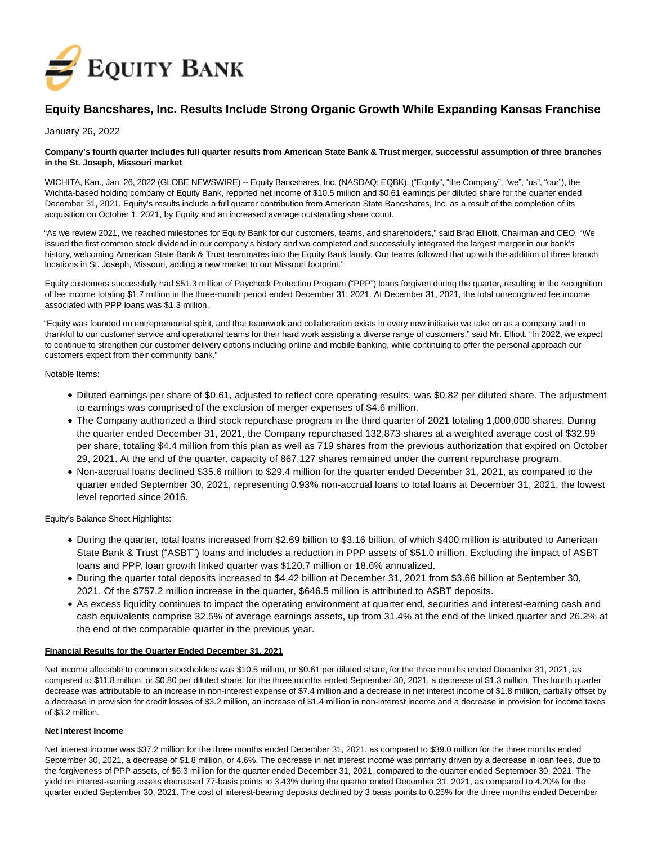

# **Equity Bancshares, Inc. Results Include Strong Organic Growth While Expanding Kansas Franchise**

## January 26, 2022

## **Company's fourth quarter includes full quarter results from American State Bank & Trust merger, successful assumption of three branches in the St. Joseph, Missouri market**

WICHITA, Kan., Jan. 26, 2022 (GLOBE NEWSWIRE) -- Equity Bancshares, Inc. (NASDAQ: EQBK), ("Equity", "the Company", "we", "us", "our"), the Wichita-based holding company of Equity Bank, reported net income of \$10.5 million and \$0.61 earnings per diluted share for the quarter ended December 31, 2021. Equity's results include a full quarter contribution from American State Bancshares, Inc. as a result of the completion of its acquisition on October 1, 2021, by Equity and an increased average outstanding share count.

"As we review 2021, we reached milestones for Equity Bank for our customers, teams, and shareholders," said Brad Elliott, Chairman and CEO. "We issued the first common stock dividend in our company's history and we completed and successfully integrated the largest merger in our bank's history, welcoming American State Bank & Trust teammates into the Equity Bank family. Our teams followed that up with the addition of three branch locations in St. Joseph, Missouri, adding a new market to our Missouri footprint."

Equity customers successfully had \$51.3 million of Paycheck Protection Program ("PPP") loans forgiven during the quarter, resulting in the recognition of fee income totaling \$1.7 million in the three-month period ended December 31, 2021. At December 31, 2021, the total unrecognized fee income associated with PPP loans was \$1.3 million.

"Equity was founded on entrepreneurial spirit, and that teamwork and collaboration exists in every new initiative we take on as a company, and I'm thankful to our customer service and operational teams for their hard work assisting a diverse range of customers," said Mr. Elliott. "In 2022, we expect to continue to strengthen our customer delivery options including online and mobile banking, while continuing to offer the personal approach our customers expect from their community bank."

#### Notable Items:

- Diluted earnings per share of \$0.61, adjusted to reflect core operating results, was \$0.82 per diluted share. The adjustment to earnings was comprised of the exclusion of merger expenses of \$4.6 million.
- The Company authorized a third stock repurchase program in the third quarter of 2021 totaling 1,000,000 shares. During the quarter ended December 31, 2021, the Company repurchased 132,873 shares at a weighted average cost of \$32.99 per share, totaling \$4.4 million from this plan as well as 719 shares from the previous authorization that expired on October 29, 2021. At the end of the quarter, capacity of 867,127 shares remained under the current repurchase program.
- Non-accrual loans declined \$35.6 million to \$29.4 million for the quarter ended December 31, 2021, as compared to the quarter ended September 30, 2021, representing 0.93% non-accrual loans to total loans at December 31, 2021, the lowest level reported since 2016.

Equity's Balance Sheet Highlights:

- During the quarter, total loans increased from \$2.69 billion to \$3.16 billion, of which \$400 million is attributed to American State Bank & Trust ("ASBT") loans and includes a reduction in PPP assets of \$51.0 million. Excluding the impact of ASBT loans and PPP, loan growth linked quarter was \$120.7 million or 18.6% annualized.
- During the quarter total deposits increased to \$4.42 billion at December 31, 2021 from \$3.66 billion at September 30, 2021. Of the \$757.2 million increase in the quarter, \$646.5 million is attributed to ASBT deposits.
- As excess liquidity continues to impact the operating environment at quarter end, securities and interest-earning cash and cash equivalents comprise 32.5% of average earnings assets, up from 31.4% at the end of the linked quarter and 26.2% at the end of the comparable quarter in the previous year.

# **Financial Results for the Quarter Ended December 31, 2021**

Net income allocable to common stockholders was \$10.5 million, or \$0.61 per diluted share, for the three months ended December 31, 2021, as compared to \$11.8 million, or \$0.80 per diluted share, for the three months ended September 30, 2021, a decrease of \$1.3 million. This fourth quarter decrease was attributable to an increase in non-interest expense of \$7.4 million and a decrease in net interest income of \$1.8 million, partially offset by a decrease in provision for credit losses of \$3.2 million, an increase of \$1.4 million in non-interest income and a decrease in provision for income taxes of \$3.2 million.

### **Net Interest Income**

Net interest income was \$37.2 million for the three months ended December 31, 2021, as compared to \$39.0 million for the three months ended September 30, 2021, a decrease of \$1.8 million, or 4.6%. The decrease in net interest income was primarily driven by a decrease in loan fees, due to the forgiveness of PPP assets, of \$6.3 million for the quarter ended December 31, 2021, compared to the quarter ended September 30, 2021. The yield on interest-earning assets decreased 77-basis points to 3.43% during the quarter ended December 31, 2021, as compared to 4.20% for the quarter ended September 30, 2021. The cost of interest-bearing deposits declined by 3 basis points to 0.25% for the three months ended December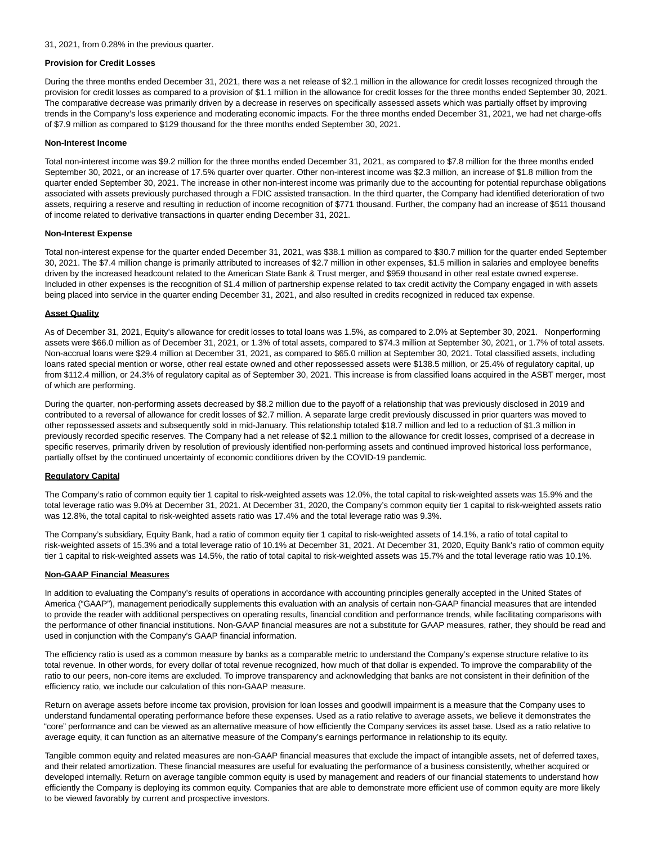#### 31, 2021, from 0.28% in the previous quarter.

#### **Provision for Credit Losses**

During the three months ended December 31, 2021, there was a net release of \$2.1 million in the allowance for credit losses recognized through the provision for credit losses as compared to a provision of \$1.1 million in the allowance for credit losses for the three months ended September 30, 2021. The comparative decrease was primarily driven by a decrease in reserves on specifically assessed assets which was partially offset by improving trends in the Company's loss experience and moderating economic impacts. For the three months ended December 31, 2021, we had net charge-offs of \$7.9 million as compared to \$129 thousand for the three months ended September 30, 2021.

#### **Non-Interest Income**

Total non-interest income was \$9.2 million for the three months ended December 31, 2021, as compared to \$7.8 million for the three months ended September 30, 2021, or an increase of 17.5% quarter over quarter. Other non-interest income was \$2.3 million, an increase of \$1.8 million from the quarter ended September 30, 2021. The increase in other non-interest income was primarily due to the accounting for potential repurchase obligations associated with assets previously purchased through a FDIC assisted transaction. In the third quarter, the Company had identified deterioration of two assets, requiring a reserve and resulting in reduction of income recognition of \$771 thousand. Further, the company had an increase of \$511 thousand of income related to derivative transactions in quarter ending December 31, 2021.

#### **Non-Interest Expense**

Total non-interest expense for the quarter ended December 31, 2021, was \$38.1 million as compared to \$30.7 million for the quarter ended September 30, 2021. The \$7.4 million change is primarily attributed to increases of \$2.7 million in other expenses, \$1.5 million in salaries and employee benefits driven by the increased headcount related to the American State Bank & Trust merger, and \$959 thousand in other real estate owned expense. Included in other expenses is the recognition of \$1.4 million of partnership expense related to tax credit activity the Company engaged in with assets being placed into service in the quarter ending December 31, 2021, and also resulted in credits recognized in reduced tax expense.

### **Asset Quality**

As of December 31, 2021, Equity's allowance for credit losses to total loans was 1.5%, as compared to 2.0% at September 30, 2021. Nonperforming assets were \$66.0 million as of December 31, 2021, or 1.3% of total assets, compared to \$74.3 million at September 30, 2021, or 1.7% of total assets. Non-accrual loans were \$29.4 million at December 31, 2021, as compared to \$65.0 million at September 30, 2021. Total classified assets, including loans rated special mention or worse, other real estate owned and other repossessed assets were \$138.5 million, or 25.4% of regulatory capital, up from \$112.4 million, or 24.3% of regulatory capital as of September 30, 2021. This increase is from classified loans acquired in the ASBT merger, most of which are performing.

During the quarter, non-performing assets decreased by \$8.2 million due to the payoff of a relationship that was previously disclosed in 2019 and contributed to a reversal of allowance for credit losses of \$2.7 million. A separate large credit previously discussed in prior quarters was moved to other repossessed assets and subsequently sold in mid-January. This relationship totaled \$18.7 million and led to a reduction of \$1.3 million in previously recorded specific reserves. The Company had a net release of \$2.1 million to the allowance for credit losses, comprised of a decrease in specific reserves, primarily driven by resolution of previously identified non-performing assets and continued improved historical loss performance, partially offset by the continued uncertainty of economic conditions driven by the COVID-19 pandemic.

### **Regulatory Capital**

The Company's ratio of common equity tier 1 capital to risk-weighted assets was 12.0%, the total capital to risk-weighted assets was 15.9% and the total leverage ratio was 9.0% at December 31, 2021. At December 31, 2020, the Company's common equity tier 1 capital to risk-weighted assets ratio was 12.8%, the total capital to risk-weighted assets ratio was 17.4% and the total leverage ratio was 9.3%.

The Company's subsidiary, Equity Bank, had a ratio of common equity tier 1 capital to risk-weighted assets of 14.1%, a ratio of total capital to risk-weighted assets of 15.3% and a total leverage ratio of 10.1% at December 31, 2021. At December 31, 2020, Equity Bank's ratio of common equity tier 1 capital to risk-weighted assets was 14.5%, the ratio of total capital to risk-weighted assets was 15.7% and the total leverage ratio was 10.1%.

#### **Non-GAAP Financial Measures**

In addition to evaluating the Company's results of operations in accordance with accounting principles generally accepted in the United States of America ("GAAP"), management periodically supplements this evaluation with an analysis of certain non-GAAP financial measures that are intended to provide the reader with additional perspectives on operating results, financial condition and performance trends, while facilitating comparisons with the performance of other financial institutions. Non-GAAP financial measures are not a substitute for GAAP measures, rather, they should be read and used in conjunction with the Company's GAAP financial information.

The efficiency ratio is used as a common measure by banks as a comparable metric to understand the Company's expense structure relative to its total revenue. In other words, for every dollar of total revenue recognized, how much of that dollar is expended. To improve the comparability of the ratio to our peers, non-core items are excluded. To improve transparency and acknowledging that banks are not consistent in their definition of the efficiency ratio, we include our calculation of this non-GAAP measure.

Return on average assets before income tax provision, provision for loan losses and goodwill impairment is a measure that the Company uses to understand fundamental operating performance before these expenses. Used as a ratio relative to average assets, we believe it demonstrates the "core" performance and can be viewed as an alternative measure of how efficiently the Company services its asset base. Used as a ratio relative to average equity, it can function as an alternative measure of the Company's earnings performance in relationship to its equity.

Tangible common equity and related measures are non-GAAP financial measures that exclude the impact of intangible assets, net of deferred taxes, and their related amortization. These financial measures are useful for evaluating the performance of a business consistently, whether acquired or developed internally. Return on average tangible common equity is used by management and readers of our financial statements to understand how efficiently the Company is deploying its common equity. Companies that are able to demonstrate more efficient use of common equity are more likely to be viewed favorably by current and prospective investors.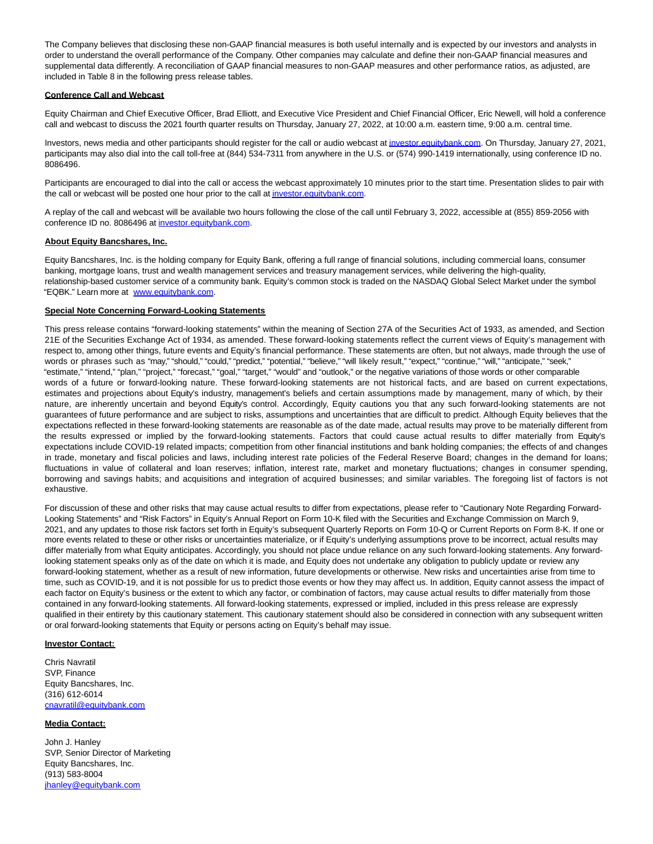The Company believes that disclosing these non-GAAP financial measures is both useful internally and is expected by our investors and analysts in order to understand the overall performance of the Company. Other companies may calculate and define their non-GAAP financial measures and supplemental data differently. A reconciliation of GAAP financial measures to non-GAAP measures and other performance ratios, as adjusted, are included in Table 8 in the following press release tables.

#### **Conference Call and Webcast**

Equity Chairman and Chief Executive Officer, Brad Elliott, and Executive Vice President and Chief Financial Officer, Eric Newell, will hold a conference call and webcast to discuss the 2021 fourth quarter results on Thursday, January 27, 2022, at 10:00 a.m. eastern time, 9:00 a.m. central time.

Investors, news media and other participants should register for the call or audio webcast a[t investor.equitybank.com.](https://www.globenewswire.com/Tracker?data=rIcFhxUtDfh1ZZkc0c5TtTJks-KPuXIuAf1fQHQwdThf6SUaca21aDqjpWiMQK2ei7WGjLkPgTA8Y0Q_IuGiCJgN1NM_sOzSP2TYviDu1Nw=) On Thursday, January 27, 2021, participants may also dial into the call toll-free at (844) 534-7311 from anywhere in the U.S. or (574) 990-1419 internationally, using conference ID no. 8086496.

Participants are encouraged to dial into the call or access the webcast approximately 10 minutes prior to the start time. Presentation slides to pair with the call or webcast will be posted one hour prior to the call a[t investor.equitybank.com.](https://www.globenewswire.com/Tracker?data=rIcFhxUtDfh1ZZkc0c5TtTJks-KPuXIuAf1fQHQwdTiF4ecFAPu3o1nhrGk2hHfYafpPuKldLdibTkLuqYx6_ZE0pzajueHyf2Mmz80DNHc=)

A replay of the call and webcast will be available two hours following the close of the call until February 3, 2022, accessible at (855) 859-2056 with conference ID no. 8086496 at [investor.equitybank.com.](https://www.globenewswire.com/Tracker?data=rIcFhxUtDfh1ZZkc0c5TtTJks-KPuXIuAf1fQHQwdTj0EnfHzJUV4X7xHxa141puSbzGvDVt0nV2IKCnGyDEcZQLgCGgpN1Q6EaUjK7QO1Q=)

#### **About Equity Bancshares, Inc.**

Equity Bancshares, Inc. is the holding company for Equity Bank, offering a full range of financial solutions, including commercial loans, consumer banking, mortgage loans, trust and wealth management services and treasury management services, while delivering the high-quality, relationship-based customer service of a community bank. Equity's common stock is traded on the NASDAQ Global Select Market under the symbol "EQBK." Learn more at [www.equitybank.com.](https://www.globenewswire.com/Tracker?data=I2VsW3s3ZfbQAf761v1VMzTt_hEwnCkCTmTwOoAv3UErXDJCXr5p3FpRGPxJwOm8H0wcvUUTP2Ue2LUQk4BWMvDScR2DRXifgPfHVKsUMBE=)

#### **Special Note Concerning Forward-Looking Statements**

This press release contains "forward-looking statements" within the meaning of Section 27A of the Securities Act of 1933, as amended, and Section 21E of the Securities Exchange Act of 1934, as amended. These forward-looking statements reflect the current views of Equity's management with respect to, among other things, future events and Equity's financial performance. These statements are often, but not always, made through the use of words or phrases such as "may," "should," "could," "predict," "potential," "believe," "will likely result," "expect," "continue," "will," "anticipate," "seek," "estimate," "intend," "plan," "project," "forecast," "goal," "target," "would" and "outlook," or the negative variations of those words or other comparable words of a future or forward-looking nature. These forward-looking statements are not historical facts, and are based on current expectations, estimates and projections about Equity's industry, management's beliefs and certain assumptions made by management, many of which, by their nature, are inherently uncertain and beyond Equity's control. Accordingly, Equity cautions you that any such forward-looking statements are not guarantees of future performance and are subject to risks, assumptions and uncertainties that are difficult to predict. Although Equity believes that the expectations reflected in these forward-looking statements are reasonable as of the date made, actual results may prove to be materially different from the results expressed or implied by the forward-looking statements. Factors that could cause actual results to differ materially from Equity's expectations include COVID-19 related impacts; competition from other financial institutions and bank holding companies; the effects of and changes in trade, monetary and fiscal policies and laws, including interest rate policies of the Federal Reserve Board; changes in the demand for loans; fluctuations in value of collateral and loan reserves; inflation, interest rate, market and monetary fluctuations; changes in consumer spending, borrowing and savings habits; and acquisitions and integration of acquired businesses; and similar variables. The foregoing list of factors is not exhaustive.

For discussion of these and other risks that may cause actual results to differ from expectations, please refer to "Cautionary Note Regarding Forward-Looking Statements" and "Risk Factors" in Equity's Annual Report on Form 10-K filed with the Securities and Exchange Commission on March 9, 2021, and any updates to those risk factors set forth in Equity's subsequent Quarterly Reports on Form 10-Q or Current Reports on Form 8-K. If one or more events related to these or other risks or uncertainties materialize, or if Equity's underlying assumptions prove to be incorrect, actual results may differ materially from what Equity anticipates. Accordingly, you should not place undue reliance on any such forward-looking statements. Any forwardlooking statement speaks only as of the date on which it is made, and Equity does not undertake any obligation to publicly update or review any forward-looking statement, whether as a result of new information, future developments or otherwise. New risks and uncertainties arise from time to time, such as COVID-19, and it is not possible for us to predict those events or how they may affect us. In addition, Equity cannot assess the impact of each factor on Equity's business or the extent to which any factor, or combination of factors, may cause actual results to differ materially from those contained in any forward-looking statements. All forward-looking statements, expressed or implied, included in this press release are expressly qualified in their entirety by this cautionary statement. This cautionary statement should also be considered in connection with any subsequent written or oral forward-looking statements that Equity or persons acting on Equity's behalf may issue.

#### **Investor Contact:**

Chris Navratil SVP, Finance Equity Bancshares, Inc. (316) 612-6014 [cnavratil@equitybank.com](https://www.globenewswire.com/Tracker?data=5rZ2Rb_YRnJrpSDUgFoYggES_cyh8TmF4DMlG1xE7ogtV5vWFbrVb3JnCkvd4fVw4zKfQxYEsp6TRcPp198td0Z145G4lsgHQnR0wBUIBwk=) 

## **Media Contact:**

John J. Hanley SVP, Senior Director of Marketing Equity Bancshares, Inc. (913) 583-8004 ihanley@equitybank.com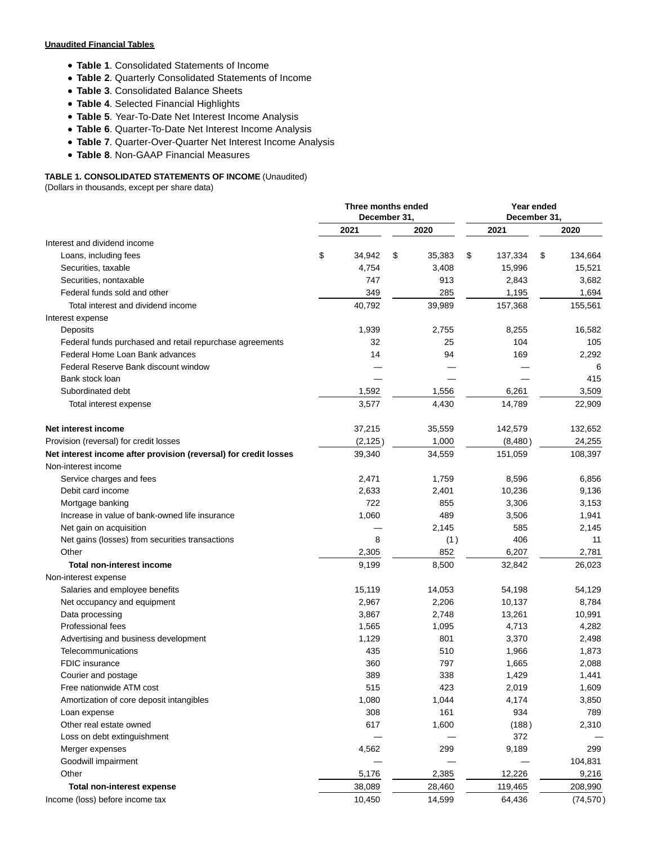# **Unaudited Financial Tables**

- **Table 1**. Consolidated Statements of Income
- **Table 2**. Quarterly Consolidated Statements of Income
- **Table 3**. Consolidated Balance Sheets
- **Table 4**. Selected Financial Highlights
- **Table 5**. Year-To-Date Net Interest Income Analysis
- **Table 6**. Quarter-To-Date Net Interest Income Analysis
- **Table 7**. Quarter-Over-Quarter Net Interest Income Analysis
- **Table 8**. Non-GAAP Financial Measures

# **TABLE 1. CONSOLIDATED STATEMENTS OF INCOME** (Unaudited)

(Dollars in thousands, except per share data)

|                                                                  | Three months ended<br>December 31, |          |    |        |    | Year ended<br>December 31, |    |           |  |
|------------------------------------------------------------------|------------------------------------|----------|----|--------|----|----------------------------|----|-----------|--|
|                                                                  |                                    | 2021     |    | 2020   |    | 2021                       |    | 2020      |  |
| Interest and dividend income                                     |                                    |          |    |        |    |                            |    |           |  |
| Loans, including fees                                            | \$                                 | 34,942   | \$ | 35,383 | \$ | 137,334                    | \$ | 134,664   |  |
| Securities, taxable                                              |                                    | 4,754    |    | 3,408  |    | 15,996                     |    | 15,521    |  |
| Securities, nontaxable                                           |                                    | 747      |    | 913    |    | 2,843                      |    | 3,682     |  |
| Federal funds sold and other                                     |                                    | 349      |    | 285    |    | 1,195                      |    | 1,694     |  |
| Total interest and dividend income                               |                                    | 40,792   |    | 39,989 |    | 157,368                    |    | 155,561   |  |
| Interest expense                                                 |                                    |          |    |        |    |                            |    |           |  |
| Deposits                                                         |                                    | 1,939    |    | 2,755  |    | 8,255                      |    | 16,582    |  |
| Federal funds purchased and retail repurchase agreements         |                                    | 32       |    | 25     |    | 104                        |    | 105       |  |
| Federal Home Loan Bank advances                                  |                                    | 14       |    | 94     |    | 169                        |    | 2,292     |  |
| Federal Reserve Bank discount window                             |                                    |          |    |        |    |                            |    | 6         |  |
| Bank stock loan                                                  |                                    |          |    |        |    |                            |    | 415       |  |
| Subordinated debt                                                |                                    | 1,592    |    | 1,556  |    | 6,261                      |    | 3,509     |  |
|                                                                  |                                    |          |    |        |    |                            |    |           |  |
| Total interest expense                                           |                                    | 3,577    |    | 4,430  |    | 14,789                     |    | 22,909    |  |
| Net interest income                                              |                                    | 37,215   |    | 35,559 |    | 142,579                    |    | 132,652   |  |
| Provision (reversal) for credit losses                           |                                    | (2, 125) |    | 1,000  |    | (8,480)                    |    | 24,255    |  |
| Net interest income after provision (reversal) for credit losses |                                    | 39,340   |    | 34,559 |    | 151,059                    |    | 108,397   |  |
| Non-interest income                                              |                                    |          |    |        |    |                            |    |           |  |
| Service charges and fees                                         |                                    | 2,471    |    | 1,759  |    | 8,596                      |    | 6,856     |  |
| Debit card income                                                |                                    | 2,633    |    | 2,401  |    | 10,236                     |    | 9,136     |  |
| Mortgage banking                                                 |                                    | 722      |    | 855    |    | 3,306                      |    | 3,153     |  |
| Increase in value of bank-owned life insurance                   |                                    | 1,060    |    | 489    |    | 3,506                      |    | 1,941     |  |
| Net gain on acquisition                                          |                                    |          |    | 2,145  |    | 585                        |    | 2,145     |  |
| Net gains (losses) from securities transactions                  |                                    | 8        |    | (1)    |    | 406                        |    | 11        |  |
| Other                                                            |                                    | 2,305    |    | 852    |    | 6,207                      |    | 2,781     |  |
| <b>Total non-interest income</b>                                 |                                    | 9,199    |    | 8,500  |    | 32,842                     |    | 26,023    |  |
| Non-interest expense                                             |                                    |          |    |        |    |                            |    |           |  |
| Salaries and employee benefits                                   |                                    | 15,119   |    | 14,053 |    | 54,198                     |    | 54,129    |  |
| Net occupancy and equipment                                      |                                    | 2,967    |    | 2,206  |    | 10,137                     |    | 8,784     |  |
| Data processing                                                  |                                    | 3,867    |    | 2,748  |    | 13,261                     |    | 10,991    |  |
| Professional fees                                                |                                    | 1,565    |    | 1,095  |    | 4,713                      |    | 4,282     |  |
| Advertising and business development                             |                                    | 1,129    |    | 801    |    | 3,370                      |    | 2,498     |  |
| Telecommunications                                               |                                    | 435      |    | 510    |    | 1,966                      |    | 1,873     |  |
| <b>FDIC</b> insurance                                            |                                    | 360      |    | 797    |    | 1,665                      |    | 2,088     |  |
| Courier and postage                                              |                                    | 389      |    | 338    |    | 1,429                      |    | 1,441     |  |
| Free nationwide ATM cost                                         |                                    | 515      |    | 423    |    | 2,019                      |    | 1,609     |  |
| Amortization of core deposit intangibles                         |                                    | 1,080    |    | 1,044  |    | 4,174                      |    | 3,850     |  |
| Loan expense                                                     |                                    | 308      |    | 161    |    | 934                        |    | 789       |  |
| Other real estate owned                                          |                                    | 617      |    | 1,600  |    | (188)                      |    | 2,310     |  |
| Loss on debt extinguishment                                      |                                    |          |    |        |    | 372                        |    |           |  |
| Merger expenses                                                  |                                    | 4,562    |    | 299    |    | 9,189                      |    | 299       |  |
| Goodwill impairment                                              |                                    |          |    |        |    |                            |    | 104,831   |  |
| Other                                                            |                                    | 5,176    |    | 2,385  |    | 12,226                     |    | 9,216     |  |
| <b>Total non-interest expense</b>                                |                                    | 38,089   |    | 28,460 |    | 119,465                    |    | 208,990   |  |
| Income (loss) before income tax                                  |                                    | 10,450   |    | 14,599 |    | 64,436                     |    | (74, 570) |  |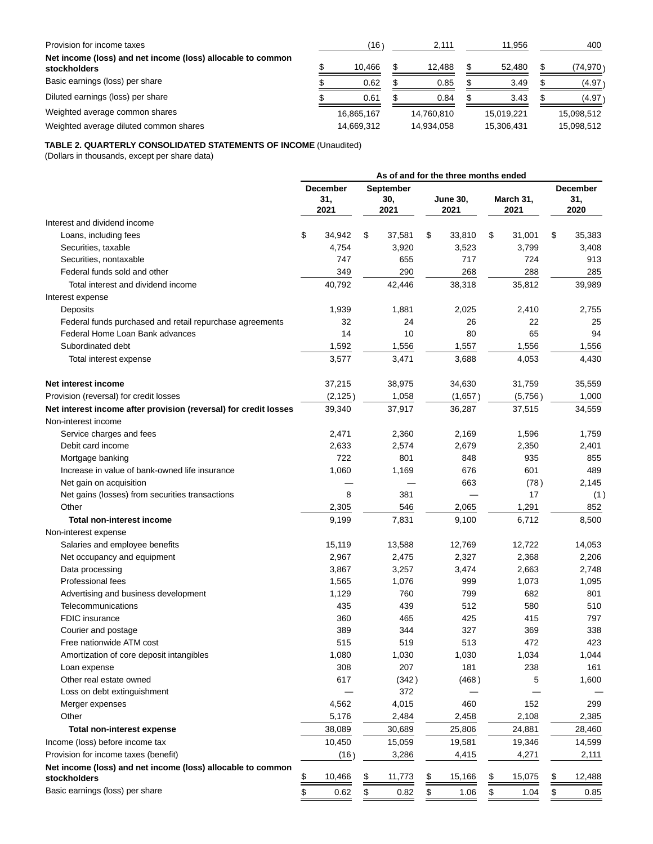| Provision for income taxes                                                  | $^{\prime}$ 16 $^{\prime}$ | 2.111      | 11.956     | 400        |
|-----------------------------------------------------------------------------|----------------------------|------------|------------|------------|
| Net income (loss) and net income (loss) allocable to common<br>stockholders | 10.466                     | 12.488     | 52.480     | (74,970)   |
| Basic earnings (loss) per share                                             | 0.62                       | 0.85       | 3.49       | (4.97)     |
| Diluted earnings (loss) per share                                           | 0.61                       | 0.84       | 3.43       | (4.97)     |
| Weighted average common shares                                              | 16.865.167                 | 14.760.810 | 15.019.221 | 15,098,512 |
| Weighted average diluted common shares                                      | 14,669,312                 | 14,934,058 | 15,306,431 | 15,098,512 |

#### **TABLE 2. QUARTERLY CONSOLIDATED STATEMENTS OF INCOME** (Unaudited)

(Dollars in thousands, except per share data)

|                                                                             |                                |                          | As of and for the three months ended |                   |                                |
|-----------------------------------------------------------------------------|--------------------------------|--------------------------|--------------------------------------|-------------------|--------------------------------|
|                                                                             | <b>December</b><br>31,<br>2021 | September<br>30,<br>2021 | <b>June 30,</b><br>2021              | March 31,<br>2021 | <b>December</b><br>31,<br>2020 |
| Interest and dividend income                                                |                                |                          |                                      |                   |                                |
| Loans, including fees                                                       | \$<br>34,942                   | \$<br>37,581             | 33,810<br>\$                         | \$<br>31,001      | \$<br>35,383                   |
| Securities, taxable                                                         | 4,754                          | 3,920                    | 3,523                                | 3,799             | 3,408                          |
| Securities, nontaxable                                                      | 747                            | 655                      | 717                                  | 724               | 913                            |
| Federal funds sold and other                                                | 349                            | 290                      | 268                                  | 288               | 285                            |
| Total interest and dividend income                                          | 40,792                         | 42,446                   | 38,318                               | 35,812            | 39,989                         |
| Interest expense                                                            |                                |                          |                                      |                   |                                |
| Deposits                                                                    | 1,939                          | 1,881                    | 2,025                                | 2,410             | 2,755                          |
| Federal funds purchased and retail repurchase agreements                    | 32                             | 24                       | 26                                   | 22                | 25                             |
| Federal Home Loan Bank advances                                             | 14                             | 10                       | 80                                   | 65                | 94                             |
| Subordinated debt                                                           | 1,592                          | 1,556                    | 1,557                                | 1,556             | 1,556                          |
| Total interest expense                                                      | 3,577                          | 3,471                    | 3,688                                | 4,053             | 4,430                          |
| Net interest income                                                         | 37,215                         | 38,975                   | 34,630                               | 31,759            | 35,559                         |
| Provision (reversal) for credit losses                                      | (2, 125)                       | 1,058                    | (1,657)                              | (5,756)           | 1,000                          |
| Net interest income after provision (reversal) for credit losses            | 39,340                         | 37,917                   | 36,287                               | 37,515            | 34,559                         |
| Non-interest income                                                         |                                |                          |                                      |                   |                                |
| Service charges and fees                                                    | 2,471                          | 2,360                    | 2,169                                | 1,596             | 1,759                          |
| Debit card income                                                           | 2,633                          | 2,574                    | 2,679                                | 2,350             | 2,401                          |
| Mortgage banking                                                            | 722                            | 801                      | 848                                  | 935               | 855                            |
| Increase in value of bank-owned life insurance                              | 1,060                          | 1,169                    | 676                                  | 601               | 489                            |
| Net gain on acquisition                                                     |                                |                          | 663                                  | (78)              | 2,145                          |
| Net gains (losses) from securities transactions                             | 8                              | 381                      |                                      | 17                | (1)                            |
| Other                                                                       | 2,305                          | 546                      | 2,065                                | 1,291             | 852                            |
| <b>Total non-interest income</b>                                            | 9,199                          | 7,831                    | 9,100                                | 6,712             | 8,500                          |
| Non-interest expense                                                        |                                |                          |                                      |                   |                                |
| Salaries and employee benefits                                              | 15,119                         | 13,588                   | 12,769                               | 12,722            | 14,053                         |
| Net occupancy and equipment                                                 | 2,967                          | 2,475                    | 2,327                                | 2,368             | 2,206                          |
| Data processing                                                             | 3,867                          | 3,257                    | 3,474                                | 2,663             | 2,748                          |
| Professional fees                                                           | 1,565                          | 1,076                    | 999                                  | 1,073             | 1,095                          |
| Advertising and business development                                        | 1,129                          | 760                      | 799                                  | 682               | 801                            |
| Telecommunications                                                          | 435                            | 439                      | 512                                  | 580               | 510                            |
| <b>FDIC</b> insurance                                                       | 360                            | 465                      | 425                                  | 415               | 797                            |
| Courier and postage                                                         | 389                            | 344                      | 327                                  | 369               | 338                            |
| Free nationwide ATM cost                                                    | 515                            | 519                      | 513                                  | 472               | 423                            |
| Amortization of core deposit intangibles                                    | 1,080                          | 1,030                    | 1,030                                | 1,034             | 1,044                          |
| Loan expense                                                                | 308                            | 207                      | 181                                  | 238               | 161                            |
| Other real estate owned                                                     | 617                            | (342)                    | (468)                                | 5                 | 1,600                          |
| Loss on debt extinguishment                                                 |                                | 372                      |                                      |                   |                                |
| Merger expenses                                                             | 4,562                          | 4,015                    | 460                                  | 152               | 299                            |
| Other                                                                       | 5,176                          | 2,484                    | 2,458                                | 2,108             | 2,385                          |
| <b>Total non-interest expense</b>                                           | 38,089                         | 30,689                   | 25,806                               | 24,881            | 28,460                         |
| Income (loss) before income tax                                             | 10,450                         | 15,059                   | 19,581                               | 19,346            | 14,599                         |
| Provision for income taxes (benefit)                                        | (16)                           | 3,286                    | 4,415                                | 4,271             | 2,111                          |
| Net income (loss) and net income (loss) allocable to common<br>stockholders | \$<br>10,466                   | 11,773                   | 15,166<br>\$                         | 15,075<br>\$      | 12,488<br>\$                   |
| Basic earnings (loss) per share                                             | \$                             | \$                       | \$                                   | \$                | \$                             |
|                                                                             | 0.62                           | 0.82                     | 1.06                                 | 1.04              | 0.85                           |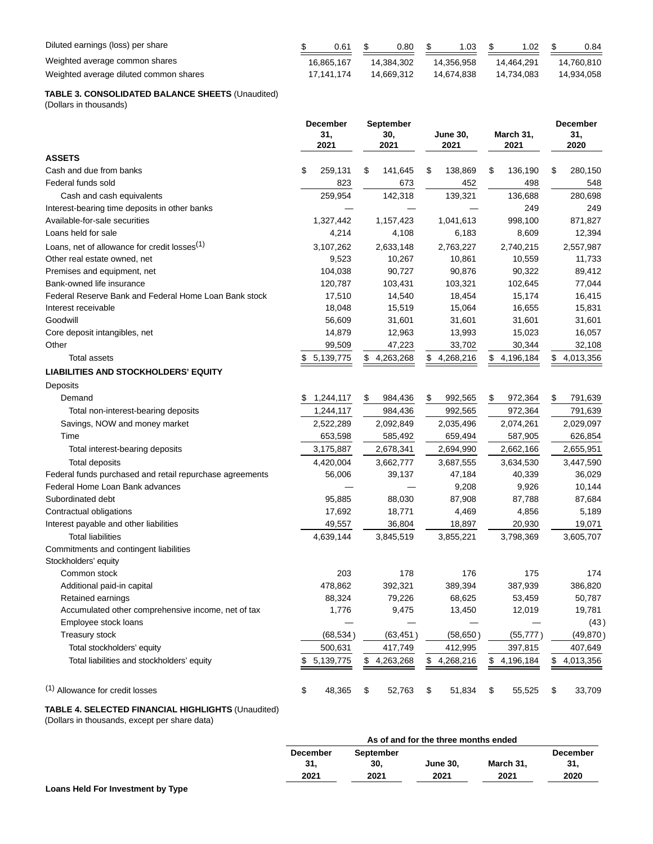| Diluted earnings (loss) per share      | 0.61       | 0.80       | .03        | 1.02       | 0.84       |
|----------------------------------------|------------|------------|------------|------------|------------|
| Weighted average common shares         | 16.865.167 | 14.384.302 | 14.356.958 | 14.464.291 | 14.760.810 |
| Weighted average diluted common shares | 17.141.174 | 14.669.312 | 14.674.838 | 14.734.083 | 14,934,058 |

# **TABLE 3. CONSOLIDATED BALANCE SHEETS** (Unaudited)

(Dollars in thousands)

|                                                          |    | <b>December</b><br>31,<br>2021 | September<br>30,<br>2021 |           | <b>June 30,</b><br>2021 |    | March 31,<br>2021 | <b>December</b><br>31,<br>2020 |
|----------------------------------------------------------|----|--------------------------------|--------------------------|-----------|-------------------------|----|-------------------|--------------------------------|
| <b>ASSETS</b>                                            |    |                                |                          |           |                         |    |                   |                                |
| Cash and due from banks                                  | \$ | 259,131                        | \$                       | 141,645   | \$<br>138,869           | \$ | 136,190           | \$<br>280,150                  |
| Federal funds sold                                       |    | 823                            |                          | 673       | 452                     |    | 498               | 548                            |
| Cash and cash equivalents                                |    | 259,954                        |                          | 142,318   | 139,321                 |    | 136,688           | 280,698                        |
| Interest-bearing time deposits in other banks            |    |                                |                          |           |                         |    | 249               | 249                            |
| Available-for-sale securities                            |    | 1,327,442                      |                          | 1,157,423 | 1,041,613               |    | 998,100           | 871,827                        |
| Loans held for sale                                      |    | 4,214                          |                          | 4,108     | 6,183                   |    | 8,609             | 12,394                         |
| Loans, net of allowance for credit losses <sup>(1)</sup> |    | 3,107,262                      |                          | 2,633,148 | 2,763,227               |    | 2,740,215         | 2,557,987                      |
| Other real estate owned, net                             |    | 9,523                          |                          | 10,267    | 10,861                  |    | 10,559            | 11,733                         |
| Premises and equipment, net                              |    | 104,038                        |                          | 90,727    | 90,876                  |    | 90,322            | 89,412                         |
| Bank-owned life insurance                                |    | 120,787                        |                          | 103,431   | 103,321                 |    | 102,645           | 77,044                         |
| Federal Reserve Bank and Federal Home Loan Bank stock    |    | 17,510                         |                          | 14,540    | 18,454                  |    | 15,174            | 16,415                         |
| Interest receivable                                      |    | 18,048                         |                          | 15,519    | 15,064                  |    | 16,655            | 15,831                         |
| Goodwill                                                 |    | 56,609                         |                          | 31,601    | 31,601                  |    | 31,601            | 31,601                         |
| Core deposit intangibles, net                            |    | 14,879                         |                          | 12,963    | 13,993                  |    | 15,023            | 16,057                         |
| Other                                                    |    | 99,509                         |                          | 47,223    | 33,702                  |    | 30,344            | 32,108                         |
| <b>Total assets</b>                                      |    | 5,139,775                      | \$                       | 4,263,268 | \$<br>4,268,216         | \$ | 4,196,184         | \$<br>4,013,356                |
| <b>LIABILITIES AND STOCKHOLDERS' EQUITY</b>              |    |                                |                          |           |                         |    |                   |                                |
| Deposits                                                 |    |                                |                          |           |                         |    |                   |                                |
| Demand                                                   | S  | 1,244,117                      | \$                       | 984,436   | \$<br>992,565           | \$ | 972,364           | \$<br>791,639                  |
| Total non-interest-bearing deposits                      |    | 1,244,117                      |                          | 984,436   | 992,565                 |    | 972,364           | 791,639                        |
| Savings, NOW and money market                            |    | 2,522,289                      |                          | 2,092,849 | 2,035,496               |    | 2,074,261         | 2,029,097                      |
| Time                                                     |    | 653,598                        |                          | 585,492   | 659,494                 |    | 587,905           | 626,854                        |
| Total interest-bearing deposits                          |    | 3,175,887                      |                          | 2,678,341 | 2,694,990               |    | 2,662,166         | 2,655,951                      |
| <b>Total deposits</b>                                    |    | 4,420,004                      |                          | 3,662,777 | 3,687,555               |    | 3,634,530         | 3,447,590                      |
| Federal funds purchased and retail repurchase agreements |    | 56,006                         |                          | 39,137    | 47,184                  |    | 40,339            | 36,029                         |
| Federal Home Loan Bank advances                          |    |                                |                          |           | 9,208                   |    | 9,926             | 10,144                         |
| Subordinated debt                                        |    | 95,885                         |                          | 88,030    | 87,908                  |    | 87,788            | 87,684                         |
| Contractual obligations                                  |    | 17,692                         |                          | 18,771    | 4,469                   |    | 4,856             | 5,189                          |
| Interest payable and other liabilities                   |    | 49,557                         |                          | 36,804    | 18,897                  |    | 20,930            | 19,071                         |
| <b>Total liabilities</b>                                 |    | 4,639,144                      |                          | 3,845,519 | 3,855,221               |    | 3,798,369         | 3,605,707                      |
| Commitments and contingent liabilities                   |    |                                |                          |           |                         |    |                   |                                |
| Stockholders' equity                                     |    |                                |                          |           |                         |    |                   |                                |
| Common stock                                             |    | 203                            |                          | 178       | 176                     |    | 175               | 174                            |
| Additional paid-in capital                               |    | 478,862                        |                          | 392,321   | 389,394                 |    | 387,939           | 386,820                        |
| Retained earnings                                        |    | 88,324                         |                          | 79,226    | 68,625                  |    | 53,459            | 50,787                         |
| Accumulated other comprehensive income, net of tax       |    | 1,776                          |                          | 9,475     | 13,450                  |    | 12,019            | 19,781                         |
| Employee stock loans                                     |    |                                |                          |           |                         |    |                   | (43)                           |
| Treasury stock                                           |    | (68, 534)                      |                          | (63, 451) | (58, 650)               |    | (55, 777)         | (49, 870)                      |
| Total stockholders' equity                               |    | 500,631                        |                          | 417,749   | 412,995                 |    | 397,815           | 407,649                        |
| Total liabilities and stockholders' equity               |    | 5,139,775                      |                          | 4,263,268 | \$<br>4,268,216         | \$ | 4,196,184         | \$<br>4,013,356                |
| (1) Allowance for credit losses                          | \$ | 48,365                         | \$                       | 52,763    | \$<br>51,834            | \$ | 55,525            | \$<br>33,709                   |

# **TABLE 4. SELECTED FINANCIAL HIGHLIGHTS** (Unaudited)

(Dollars in thousands, except per share data)

|                 |           | As of and for the three months ended |           |                 |
|-----------------|-----------|--------------------------------------|-----------|-----------------|
| <b>December</b> | September |                                      |           | <b>December</b> |
| 31.             | 30        | <b>June 30.</b>                      | March 31, | 31.             |
| 2021            | 2021      | 2021                                 | 2021      | 2020            |
|                 |           |                                      |           |                 |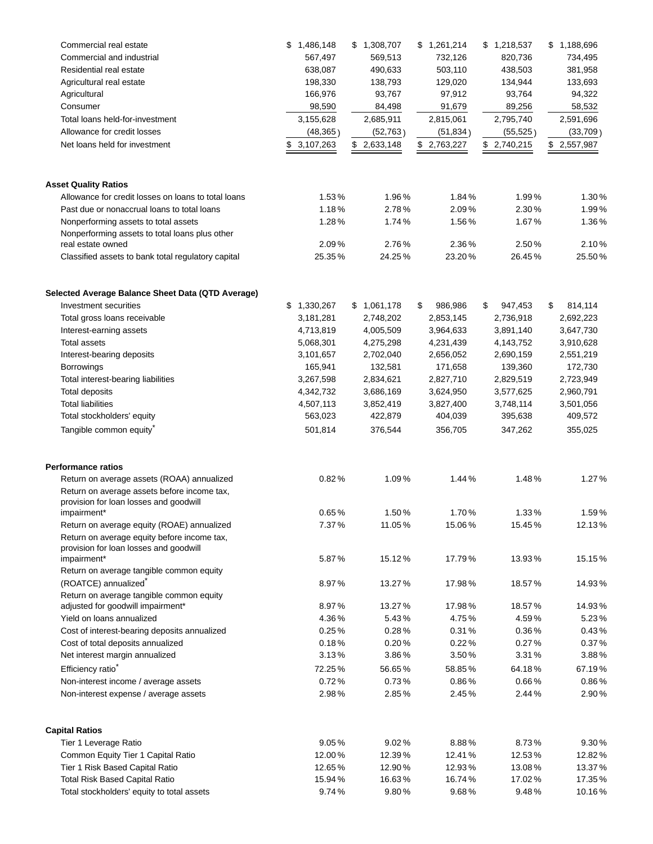| Commercial real estate                                                                | \$1,486,148 | \$1,308,707 | \$1,261,214   | \$1,218,537   | \$1,188,696   |
|---------------------------------------------------------------------------------------|-------------|-------------|---------------|---------------|---------------|
| Commercial and industrial                                                             | 567,497     | 569,513     | 732,126       | 820,736       | 734,495       |
| Residential real estate                                                               | 638,087     | 490,633     | 503,110       | 438,503       | 381,958       |
| Agricultural real estate                                                              | 198,330     | 138,793     | 129,020       | 134,944       | 133,693       |
| Agricultural                                                                          | 166,976     | 93,767      | 97,912        | 93,764        | 94,322        |
| Consumer                                                                              | 98,590      | 84,498      | 91,679        | 89,256        | 58,532        |
| Total loans held-for-investment                                                       | 3,155,628   | 2,685,911   | 2,815,061     | 2,795,740     | 2,591,696     |
| Allowance for credit losses                                                           | (48, 365)   | (52, 763)   | (51, 834)     | (55, 525)     | (33,709)      |
| Net loans held for investment                                                         | 3,107,263   | \$2,633,148 | \$2,763,227   | \$2,740,215   | \$2,557,987   |
|                                                                                       |             |             |               |               |               |
| <b>Asset Quality Ratios</b>                                                           |             |             |               |               |               |
| Allowance for credit losses on loans to total loans                                   | 1.53%       | 1.96%       | 1.84%         | 1.99%         | 1.30%         |
| Past due or nonaccrual loans to total loans                                           | 1.18%       | 2.78%       | 2.09%         | 2.30%         | 1.99%         |
| Nonperforming assets to total assets                                                  | 1.28%       | 1.74%       | 1.56%         | 1.67%         | 1.36%         |
| Nonperforming assets to total loans plus other                                        |             |             |               |               |               |
| real estate owned                                                                     | 2.09%       | 2.76%       | 2.36%         | 2.50%         | 2.10%         |
| Classified assets to bank total regulatory capital                                    | 25.35%      | 24.25%      | 23.20%        | 26.45%        | 25.50%        |
| Selected Average Balance Sheet Data (QTD Average)                                     |             |             |               |               |               |
| Investment securities                                                                 | \$1,330,267 | \$1,061,178 | \$<br>986,986 | \$<br>947,453 | \$<br>814,114 |
| Total gross loans receivable                                                          | 3,181,281   | 2,748,202   | 2,853,145     | 2,736,918     | 2,692,223     |
| Interest-earning assets                                                               | 4,713,819   | 4,005,509   | 3,964,633     | 3,891,140     | 3,647,730     |
| Total assets                                                                          | 5,068,301   | 4,275,298   | 4,231,439     | 4,143,752     | 3,910,628     |
| Interest-bearing deposits                                                             | 3,101,657   | 2,702,040   | 2,656,052     | 2,690,159     | 2,551,219     |
| <b>Borrowings</b>                                                                     | 165,941     | 132,581     | 171,658       | 139,360       | 172,730       |
| Total interest-bearing liabilities                                                    | 3,267,598   | 2,834,621   | 2,827,710     | 2,829,519     | 2,723,949     |
| Total deposits                                                                        | 4,342,732   | 3,686,169   | 3,624,950     | 3,577,625     | 2,960,791     |
| <b>Total liabilities</b>                                                              | 4,507,113   | 3,852,419   | 3,827,400     | 3,748,114     | 3,501,056     |
| Total stockholders' equity                                                            | 563,023     | 422,879     | 404,039       | 395,638       | 409,572       |
| Tangible common equity <sup>*</sup>                                                   | 501,814     | 376,544     | 356,705       | 347,262       | 355,025       |
|                                                                                       |             |             |               |               |               |
| <b>Performance ratios</b>                                                             |             |             |               |               |               |
| Return on average assets (ROAA) annualized                                            | 0.82%       | 1.09%       | 1.44%         | 1.48%         | 1.27%         |
| Return on average assets before income tax,                                           |             |             |               |               |               |
| provision for loan losses and goodwill                                                | 0.65%       | 1.50%       | 1.70%         | 1.33%         | 1.59%         |
| impairment*<br>Return on average equity (ROAE) annualized                             | 7.37%       | 11.05%      | 15.06%        | 15.45%        | 12.13%        |
|                                                                                       |             |             |               |               |               |
| Return on average equity before income tax,<br>provision for loan losses and goodwill |             |             |               |               |               |
| impairment*                                                                           | 5.87%       | 15.12%      | 17.79%        | 13.93%        | 15.15%        |
| Return on average tangible common equity                                              |             |             |               |               |               |
| (ROATCE) annualized <sup>*</sup>                                                      | 8.97%       | 13.27%      | 17.98%        | 18.57%        | 14.93%        |
| Return on average tangible common equity                                              |             |             |               |               |               |
| adjusted for goodwill impairment*                                                     | 8.97%       | 13.27%      | 17.98%        | 18.57%        | 14.93%        |
| Yield on loans annualized                                                             | 4.36%       | 5.43%       | 4.75%         | 4.59%         | 5.23%         |
| Cost of interest-bearing deposits annualized                                          | 0.25%       | 0.28%       | 0.31%         | 0.36%         | 0.43%         |
|                                                                                       | 0.18%       | 0.20%       | 0.22%         | 0.27%         | 0.37%         |
| Cost of total deposits annualized                                                     | 3.13%       | 3.86%       | 3.50%         |               | 3.88%         |
| Net interest margin annualized                                                        |             |             |               | 3.31%         |               |
| Efficiency ratio <sup>®</sup>                                                         | 72.25%      | 56.65%      | 58.85%        | 64.18%        | 67.19%        |
| Non-interest income / average assets                                                  | 0.72%       | 0.73%       | 0.86%         | 0.66%         | 0.86%         |
| Non-interest expense / average assets                                                 | 2.98%       | 2.85%       | 2.45%         | 2.44%         | 2.90%         |
| <b>Capital Ratios</b>                                                                 |             |             |               |               |               |
| Tier 1 Leverage Ratio                                                                 | 9.05%       | 9.02%       | 8.88%         | 8.73%         | 9.30%         |
| Common Equity Tier 1 Capital Ratio                                                    | 12.00%      | 12.39%      | 12.41%        | 12.53%        | 12.82%        |
| Tier 1 Risk Based Capital Ratio                                                       | 12.65%      | 12.90%      | 12.93%        | 13.08%        | 13.37%        |
| <b>Total Risk Based Capital Ratio</b>                                                 | 15.94%      | 16.63%      | 16.74%        | 17.02%        | 17.35%        |
| Total stockholders' equity to total assets                                            | 9.74%       | 9.80%       | 9.68%         | 9.48%         | 10.16%        |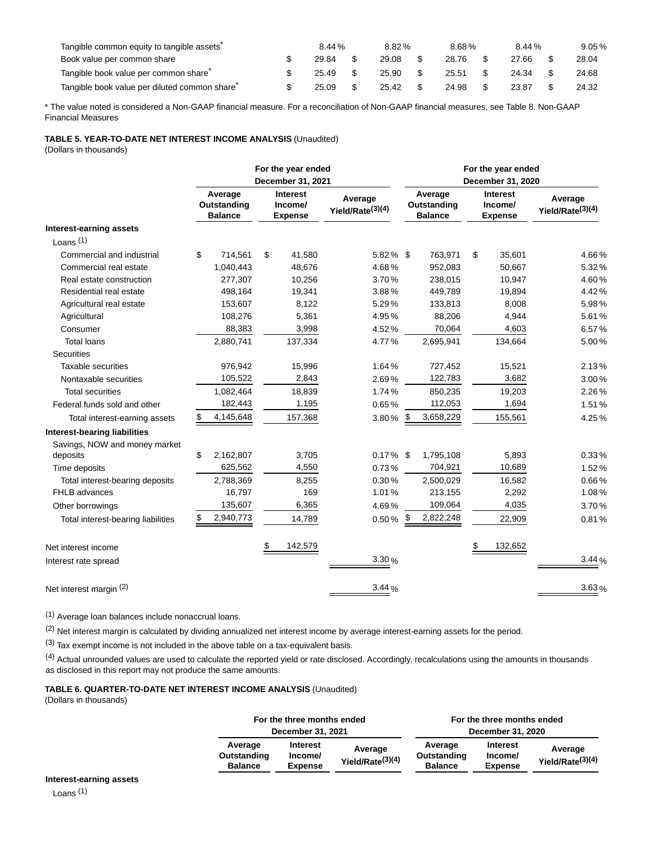| Tangible common equity to tangible assets <sup>®</sup>    | 8.44% | 8.82% | 8.68% | 8.44% | 9.05% |
|-----------------------------------------------------------|-------|-------|-------|-------|-------|
| Book value per common share                               | 29.84 | 29.08 | 28.76 | 27.66 | 28.04 |
| Tangible book value per common share <sup>®</sup>         | 25.49 | 25.90 | 25.51 | 24.34 | 24.68 |
| Tangible book value per diluted common share <sup>®</sup> | 25.09 | 25.42 | 24.98 | 23.87 | 24.32 |

\* The value noted is considered a Non-GAAP financial measure. For a reconciliation of Non-GAAP financial measures, see Table 8. Non-GAAP Financial Measures

# **TABLE 5. YEAR-TO-DATE NET INTEREST INCOME ANALYSIS** (Unaudited)

(Dollars in thousands)

|                                           |                                          | For the year ended                           |                                         |                   | For the year ended                       |                                              |                                         |
|-------------------------------------------|------------------------------------------|----------------------------------------------|-----------------------------------------|-------------------|------------------------------------------|----------------------------------------------|-----------------------------------------|
|                                           |                                          | December 31, 2021                            |                                         | December 31, 2020 |                                          |                                              |                                         |
|                                           | Average<br>Outstanding<br><b>Balance</b> | <b>Interest</b><br>Income/<br><b>Expense</b> | Average<br>Yield/Rate <sup>(3)(4)</sup> |                   | Average<br>Outstanding<br><b>Balance</b> | <b>Interest</b><br>Income/<br><b>Expense</b> | Average<br>Yield/Rate <sup>(3)(4)</sup> |
| Interest-earning assets                   |                                          |                                              |                                         |                   |                                          |                                              |                                         |
| Loans $(1)$                               |                                          |                                              |                                         |                   |                                          |                                              |                                         |
| Commercial and industrial                 | \$<br>714,561                            | \$<br>41,580                                 | 5.82% \$                                |                   | 763,971                                  | \$<br>35,601                                 | 4.66%                                   |
| Commercial real estate                    | 1,040,443                                | 48,676                                       | 4.68%                                   |                   | 952,083                                  | 50,667                                       | 5.32%                                   |
| Real estate construction                  | 277,307                                  | 10,256                                       | 3.70%                                   |                   | 238,015                                  | 10,947                                       | 4.60%                                   |
| Residential real estate                   | 498,164                                  | 19,341                                       | 3.88%                                   |                   | 449,789                                  | 19,894                                       | 4.42%                                   |
| Agricultural real estate                  | 153,607                                  | 8,122                                        | 5.29%                                   |                   | 133,813                                  | 8,008                                        | 5.98%                                   |
| Agricultural                              | 108,276                                  | 5,361                                        | 4.95%                                   |                   | 88,206                                   | 4,944                                        | 5.61%                                   |
| Consumer                                  | 88,383                                   | 3,998                                        | 4.52%                                   |                   | 70,064                                   | 4,603                                        | 6.57%                                   |
| <b>Total loans</b>                        | 2,880,741                                | 137,334                                      | 4.77%                                   |                   | 2,695,941                                | 134,664                                      | 5.00%                                   |
| <b>Securities</b>                         |                                          |                                              |                                         |                   |                                          |                                              |                                         |
| Taxable securities                        | 976,942                                  | 15,996                                       | 1.64%                                   |                   | 727,452                                  | 15,521                                       | 2.13%                                   |
| Nontaxable securities                     | 105,522                                  | 2,843                                        | 2.69%                                   |                   | 122,783                                  | 3,682                                        | 3.00%                                   |
| <b>Total securities</b>                   | 1,082,464                                | 18,839                                       | 1.74%                                   |                   | 850,235                                  | 19,203                                       | 2.26%                                   |
| Federal funds sold and other              | 182,443                                  | 1,195                                        | 0.65%                                   |                   | 112,053                                  | 1,694                                        | 1.51%                                   |
| Total interest-earning assets             | 4,145,648                                | 157,368                                      | 3.80%                                   | \$                | 3,658,229                                | 155,561                                      | 4.25%                                   |
| <b>Interest-bearing liabilities</b>       |                                          |                                              |                                         |                   |                                          |                                              |                                         |
| Savings, NOW and money market<br>deposits | \$<br>2,162,807                          | 3,705                                        | $0.17\%$ \$                             |                   | 1,795,108                                | 5,893                                        | 0.33%                                   |
| Time deposits                             | 625,562                                  | 4,550                                        | 0.73%                                   |                   | 704,921                                  | 10,689                                       | 1.52%                                   |
| Total interest-bearing deposits           | 2,788,369                                | 8,255                                        | 0.30%                                   |                   | 2,500,029                                | 16,582                                       | 0.66%                                   |
| FHLB advances                             | 16,797                                   | 169                                          | 1.01%                                   |                   | 213,155                                  | 2,292                                        | 1.08%                                   |
| Other borrowings                          | 135,607                                  | 6,365                                        | 4.69%                                   |                   | 109,064                                  | 4,035                                        | 3.70%                                   |
| Total interest-bearing liabilities        | \$<br>2,940,773                          | 14,789                                       | 0.50%                                   |                   | 2,822,248                                | 22,909                                       | 0.81%                                   |
| Net interest income                       |                                          | 142,579                                      |                                         |                   |                                          | 132,652                                      |                                         |
| Interest rate spread                      |                                          |                                              | 3.30%                                   |                   |                                          |                                              | 3.44%                                   |
| Net interest margin <sup>(2)</sup>        |                                          |                                              | 3.44%                                   |                   |                                          |                                              | 3.63%                                   |

(1) Average loan balances include nonaccrual loans.

(2) Net interest margin is calculated by dividing annualized net interest income by average interest-earning assets for the period.

(3) Tax exempt income is not included in the above table on a tax-equivalent basis.

(4) Actual unrounded values are used to calculate the reported yield or rate disclosed. Accordingly, recalculations using the amounts in thousands as disclosed in this report may not produce the same amounts.

# **TABLE 6. QUARTER-TO-DATE NET INTEREST INCOME ANALYSIS** (Unaudited)

(Dollars in thousands)

|                                          | For the three months ended            |                                         | For the three months ended               |                                              |                                |  |  |
|------------------------------------------|---------------------------------------|-----------------------------------------|------------------------------------------|----------------------------------------------|--------------------------------|--|--|
|                                          | December 31, 2021                     |                                         | December 31, 2020                        |                                              |                                |  |  |
| Average<br>Outstanding<br><b>Balance</b> | Interest<br>Income/<br><b>Expense</b> | Average<br>Yield/Rate <sup>(3)(4)</sup> | Average<br>Outstanding<br><b>Balance</b> | <b>Interest</b><br>Income/<br><b>Expense</b> | Average<br>Yield/Rate $(3)(4)$ |  |  |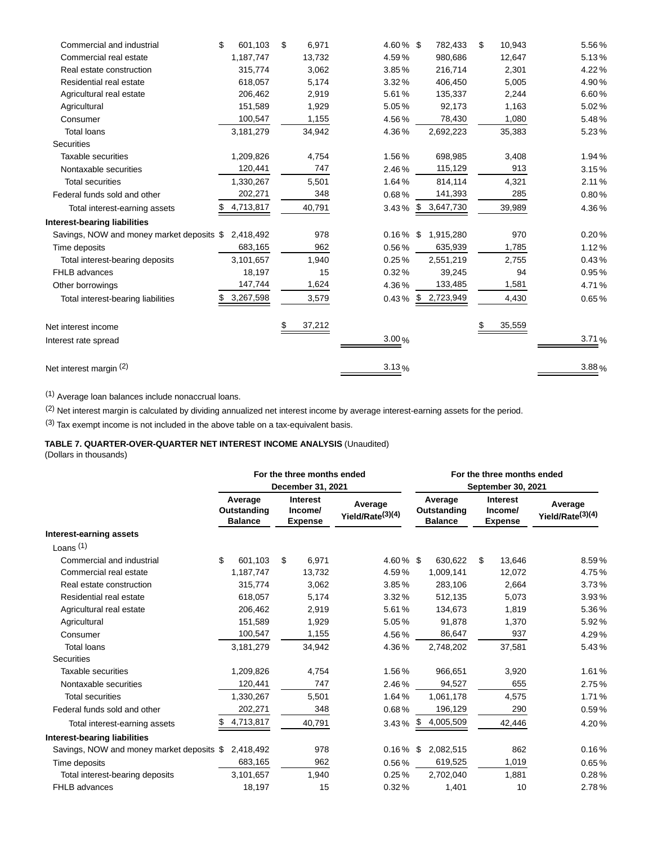| Commercial and industrial                 | \$<br>601,103 | \$<br>6,971 | 4.60% \$ | 782,433         | \$<br>10,943 | 5.56% |
|-------------------------------------------|---------------|-------------|----------|-----------------|--------------|-------|
| Commercial real estate                    | 1,187,747     | 13,732      | 4.59%    | 980,686         | 12,647       | 5.13% |
| Real estate construction                  | 315,774       | 3,062       | 3.85%    | 216,714         | 2,301        | 4.22% |
| Residential real estate                   | 618,057       | 5,174       | 3.32%    | 406,450         | 5,005        | 4.90% |
| Agricultural real estate                  | 206,462       | 2,919       | 5.61%    | 135,337         | 2,244        | 6.60% |
| Agricultural                              | 151,589       | 1,929       | 5.05%    | 92,173          | 1,163        | 5.02% |
| Consumer                                  | 100,547       | 1,155       | 4.56%    | 78,430          | 1,080        | 5.48% |
| <b>Total loans</b>                        | 3,181,279     | 34,942      | 4.36%    | 2,692,223       | 35,383       | 5.23% |
| <b>Securities</b>                         |               |             |          |                 |              |       |
| Taxable securities                        | 1,209,826     | 4,754       | 1.56%    | 698,985         | 3,408        | 1.94% |
| Nontaxable securities                     | 120,441       | 747         | 2.46%    | 115,129         | 913          | 3.15% |
| <b>Total securities</b>                   | 1,330,267     | 5,501       | 1.64%    | 814,114         | 4,321        | 2.11% |
| Federal funds sold and other              | 202,271       | 348         | 0.68%    | 141,393         | 285          | 0.80% |
| Total interest-earning assets             | 4,713,817     | 40,791      | 3.43%    | 3,647,730<br>\$ | 39,989       | 4.36% |
| <b>Interest-bearing liabilities</b>       |               |             |          |                 |              |       |
| Savings, NOW and money market deposits \$ | 2,418,492     | 978         | 0.16%    | \$<br>1,915,280 | 970          | 0.20% |
| Time deposits                             | 683,165       | 962         | 0.56%    | 635,939         | 1,785        | 1.12% |
| Total interest-bearing deposits           | 3,101,657     | 1,940       | 0.25%    | 2,551,219       | 2,755        | 0.43% |
| FHLB advances                             | 18,197        | 15          | 0.32%    | 39,245          | 94           | 0.95% |
| Other borrowings                          | 147,744       | 1,624       | 4.36%    | 133,485         | 1,581        | 4.71% |
| Total interest-bearing liabilities        | 3,267,598     | 3,579       | 0.43%    | 2,723,949       | 4,430        | 0.65% |
| Net interest income                       |               | 37,212      |          |                 | 35,559       |       |
| Interest rate spread                      |               |             | 3.00%    |                 |              | 3.71% |
|                                           |               |             |          |                 |              |       |
| Net interest margin (2)                   |               |             | 3.13%    |                 |              | 3.88% |

(1) Average loan balances include nonaccrual loans.

(2) Net interest margin is calculated by dividing annualized net interest income by average interest-earning assets for the period.

 $(3)$  Tax exempt income is not included in the above table on a tax-equivalent basis.

# **TABLE 7. QUARTER-OVER-QUARTER NET INTEREST INCOME ANALYSIS** (Unaudited)

(Dollars in thousands)

|                                           |                                          | For the three months ended                   | For the three months ended |                                         |                                          |           |                                              |        |                                         |  |
|-------------------------------------------|------------------------------------------|----------------------------------------------|----------------------------|-----------------------------------------|------------------------------------------|-----------|----------------------------------------------|--------|-----------------------------------------|--|
|                                           |                                          | December 31, 2021                            | September 30, 2021         |                                         |                                          |           |                                              |        |                                         |  |
|                                           | Average<br>Outstanding<br><b>Balance</b> | <b>Interest</b><br>Income/<br><b>Expense</b> |                            | Average<br>Yield/Rate <sup>(3)(4)</sup> | Average<br>Outstanding<br><b>Balance</b> |           | <b>Interest</b><br>Income/<br><b>Expense</b> |        | Average<br>Yield/Rate <sup>(3)(4)</sup> |  |
| Interest-earning assets                   |                                          |                                              |                            |                                         |                                          |           |                                              |        |                                         |  |
| Loans $(1)$                               |                                          |                                              |                            |                                         |                                          |           |                                              |        |                                         |  |
| Commercial and industrial                 | \$<br>601.103                            | \$                                           | 6.971                      | $4.60\%$ \$                             |                                          | 630.622   | \$                                           | 13.646 | 8.59%                                   |  |
| Commercial real estate                    | 1,187,747                                |                                              | 13,732                     | 4.59%                                   |                                          | 1,009,141 |                                              | 12,072 | 4.75%                                   |  |
| Real estate construction                  | 315.774                                  |                                              | 3,062                      | 3.85%                                   |                                          | 283.106   |                                              | 2,664  | 3.73%                                   |  |
| Residential real estate                   | 618,057                                  |                                              | 5,174                      | 3.32%                                   |                                          | 512,135   |                                              | 5,073  | 3.93%                                   |  |
| Agricultural real estate                  | 206,462                                  |                                              | 2,919                      | 5.61%                                   |                                          | 134,673   |                                              | 1,819  | 5.36%                                   |  |
| Agricultural                              | 151,589                                  |                                              | 1,929                      | 5.05%                                   |                                          | 91.878    |                                              | 1,370  | 5.92%                                   |  |
| Consumer                                  | 100,547                                  |                                              | 1,155                      | 4.56%                                   |                                          | 86,647    |                                              | 937    | 4.29%                                   |  |
| Total loans                               | 3,181,279                                |                                              | 34,942                     | 4.36%                                   |                                          | 2,748,202 |                                              | 37,581 | 5.43%                                   |  |
| <b>Securities</b>                         |                                          |                                              |                            |                                         |                                          |           |                                              |        |                                         |  |
| Taxable securities                        | 1,209,826                                |                                              | 4.754                      | 1.56%                                   |                                          | 966,651   |                                              | 3,920  | 1.61%                                   |  |
| Nontaxable securities                     | 120,441                                  |                                              | 747                        | 2.46%                                   |                                          | 94,527    |                                              | 655    | 2.75%                                   |  |
| <b>Total securities</b>                   | 1,330,267                                |                                              | 5,501                      | 1.64%                                   |                                          | 1,061,178 |                                              | 4,575  | 1.71%                                   |  |
| Federal funds sold and other              | 202,271                                  |                                              | 348                        | 0.68%                                   |                                          | 196,129   |                                              | 290    | 0.59%                                   |  |
| Total interest-earning assets             | 4,713,817                                |                                              | 40,791                     | 3.43%                                   |                                          | 4,005,509 |                                              | 42,446 | 4.20%                                   |  |
| <b>Interest-bearing liabilities</b>       |                                          |                                              |                            |                                         |                                          |           |                                              |        |                                         |  |
| Savings, NOW and money market deposits \$ | 2,418,492                                |                                              | 978                        | $0.16\%$ \$                             |                                          | 2,082,515 |                                              | 862    | 0.16%                                   |  |
| Time deposits                             | 683,165                                  |                                              | 962                        | 0.56%                                   |                                          | 619,525   |                                              | 1,019  | 0.65%                                   |  |
| Total interest-bearing deposits           | 3,101,657                                |                                              | 1,940                      | 0.25%                                   |                                          | 2,702,040 |                                              | 1.881  | 0.28%                                   |  |
| <b>FHLB</b> advances                      | 18,197                                   |                                              | 15                         | 0.32%                                   |                                          | 1,401     |                                              | 10     | 2.78%                                   |  |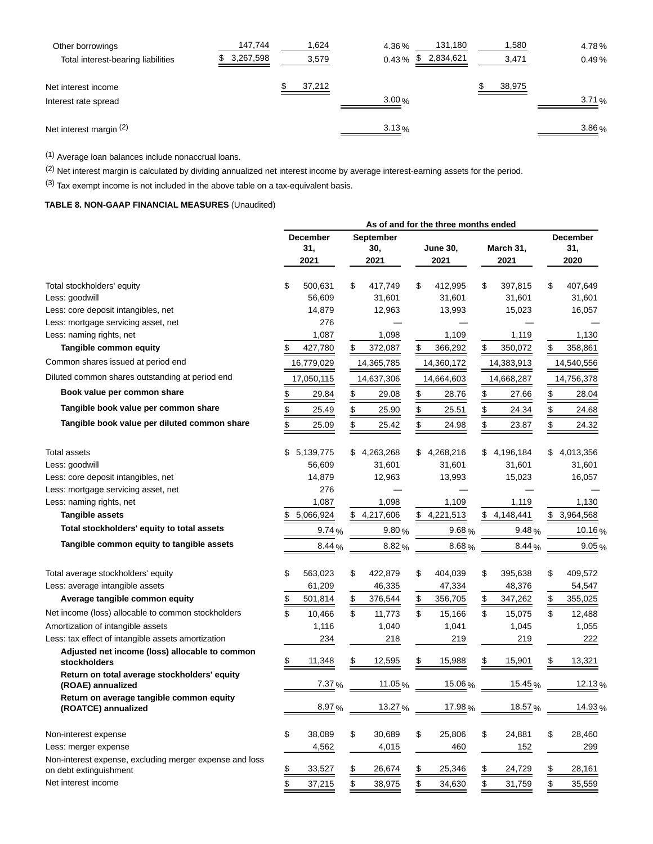| Other borrowings<br>Total interest-bearing liabilities | 147,744<br>3,267,598 | 1,624<br>3,579 | 4.36%<br>$0.43\%$ \$ | 131,180<br>1,580<br>2,834,621<br>3,471 | 4.78%<br>0.49% |
|--------------------------------------------------------|----------------------|----------------|----------------------|----------------------------------------|----------------|
| Net interest income<br>Interest rate spread            |                      | 37,212         | $3.00\%$             | 38,975                                 | 3.71%          |
| Net interest margin (2)                                |                      |                | $3.13\%$             |                                        | $3.86\%$       |

(1) Average loan balances include nonaccrual loans.

(2) Net interest margin is calculated by dividing annualized net interest income by average interest-earning assets for the period.

(3) Tax exempt income is not included in the above table on a tax-equivalent basis.

# **TABLE 8. NON-GAAP FINANCIAL MEASURES** (Unaudited)

|                                                                                   | As of and for the three months ended |                                |    |                          |     |                         |    |                   |                                |            |
|-----------------------------------------------------------------------------------|--------------------------------------|--------------------------------|----|--------------------------|-----|-------------------------|----|-------------------|--------------------------------|------------|
|                                                                                   |                                      | <b>December</b><br>31,<br>2021 |    | September<br>30,<br>2021 |     | <b>June 30,</b><br>2021 |    | March 31,<br>2021 | <b>December</b><br>31,<br>2020 |            |
| Total stockholders' equity                                                        | \$                                   | 500,631                        | \$ | 417,749                  | \$  | 412,995                 | \$ | 397,815           | \$                             | 407,649    |
| Less: goodwill                                                                    |                                      | 56,609                         |    | 31,601                   |     | 31,601                  |    | 31,601            |                                | 31,601     |
| Less: core deposit intangibles, net                                               |                                      | 14,879                         |    | 12,963                   |     | 13,993                  |    | 15,023            |                                | 16,057     |
| Less: mortgage servicing asset, net                                               |                                      | 276                            |    |                          |     |                         |    |                   |                                |            |
| Less: naming rights, net                                                          |                                      | 1,087                          |    | 1,098                    |     | 1,109                   |    | 1,119             |                                | 1,130      |
| Tangible common equity                                                            |                                      | 427,780                        | \$ | 372,087                  |     | 366,292                 | \$ | 350,072           |                                | 358,861    |
| Common shares issued at period end                                                |                                      | 16,779,029                     |    | 14,365,785               |     | 14,360,172              |    | 14,383,913        |                                | 14,540,556 |
| Diluted common shares outstanding at period end                                   |                                      | 17,050,115                     |    | 14,637,306               |     | 14,664,603              |    | 14,668,287        |                                | 14,756,378 |
| Book value per common share                                                       | \$                                   | 29.84                          | \$ | 29.08                    | \$  | 28.76                   | \$ | 27.66             | \$                             | 28.04      |
| Tangible book value per common share                                              | \$                                   | 25.49                          | \$ | 25.90                    | \$  | 25.51                   | \$ | 24.34             | \$                             | 24.68      |
| Tangible book value per diluted common share                                      | \$                                   | 25.09                          | \$ | 25.42                    | \$  | 24.98                   | \$ | 23.87             | \$                             | 24.32      |
| Total assets                                                                      | \$                                   | 5,139,775                      | \$ | 4,263,268                | \$. | 4,268,216               | \$ | 4,196,184         | \$                             | 4,013,356  |
| Less: goodwill                                                                    |                                      | 56,609                         |    | 31,601                   |     | 31,601                  |    | 31,601            |                                | 31,601     |
| Less: core deposit intangibles, net                                               |                                      | 14,879                         |    | 12,963                   |     | 13,993                  |    | 15,023            |                                | 16,057     |
| Less: mortgage servicing asset, net                                               |                                      | 276                            |    |                          |     |                         |    |                   |                                |            |
| Less: naming rights, net                                                          |                                      | 1,087                          |    | 1,098                    |     | 1,109                   |    | 1,119             |                                | 1,130      |
| <b>Tangible assets</b>                                                            |                                      | 5,066,924                      |    | 4,217,606                |     | 4,221,513               |    | 4,148,441         |                                | 3,964,568  |
| Total stockholders' equity to total assets                                        |                                      | 9.74%                          |    | 9.80%                    |     | 9.68%                   |    | 9.48%             |                                | 10.16%     |
| Tangible common equity to tangible assets                                         |                                      | 8.44%                          |    | 8.82%                    |     | 8.68%                   |    | 8.44%             |                                | 9.05%      |
| Total average stockholders' equity                                                | \$                                   | 563,023                        | \$ | 422,879                  | \$  | 404,039                 | \$ | 395,638           | \$                             | 409,572    |
| Less: average intangible assets                                                   |                                      | 61,209                         |    | 46,335                   |     | 47,334                  |    | 48,376            |                                | 54,547     |
| Average tangible common equity                                                    | \$                                   | 501,814                        | \$ | 376,544                  | \$  | 356,705                 | \$ | 347,262           | \$                             | 355,025    |
| Net income (loss) allocable to common stockholders                                | \$                                   | 10,466                         | \$ | 11,773                   | \$  | 15,166                  | \$ | 15,075            | \$                             | 12,488     |
| Amortization of intangible assets                                                 |                                      | 1,116                          |    | 1,040                    |     | 1,041                   |    | 1,045             |                                | 1,055      |
| Less: tax effect of intangible assets amortization                                |                                      | 234                            |    | 218                      |     | 219                     |    | 219               |                                | 222        |
| Adjusted net income (loss) allocable to common<br>stockholders                    |                                      | 11,348                         |    | 12,595                   |     | 15,988                  | \$ | 15,901            | S                              | 13,321     |
| Return on total average stockholders' equity<br>(ROAE) annualized                 |                                      | 7.37%                          |    | 11.05 $%$                |     | 15.06%                  |    | 15.45 $\%$        |                                | 12.13%     |
| Return on average tangible common equity<br>(ROATCE) annualized                   |                                      | 8.97%                          |    | 13.27%                   |     | 17.98%                  |    | 18.57%            |                                | 14.93%     |
| Non-interest expense                                                              | \$                                   | 38,089                         | \$ | 30,689                   | \$  | 25,806                  | \$ | 24,881            | \$                             | 28,460     |
| Less: merger expense                                                              |                                      | 4,562                          |    | 4,015                    |     | 460                     |    | 152               |                                | 299        |
| Non-interest expense, excluding merger expense and loss<br>on debt extinguishment | \$                                   | 33,527                         |    | 26,674                   | \$  | 25,346                  | \$ | 24,729            |                                | 28,161     |
| Net interest income                                                               |                                      | 37,215                         |    | 38,975                   |     | 34,630                  | \$ | 31,759            |                                | 35,559     |
|                                                                                   |                                      |                                |    |                          |     |                         |    |                   |                                |            |